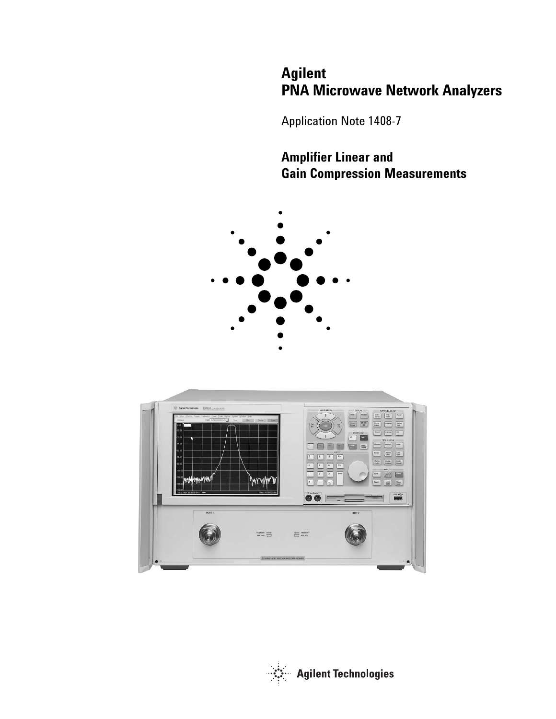# **Agilent PNA Microwave Network Analyzers**

Application Note 1408-7

# **Amplifier Linear and Gain Compression Measurements**





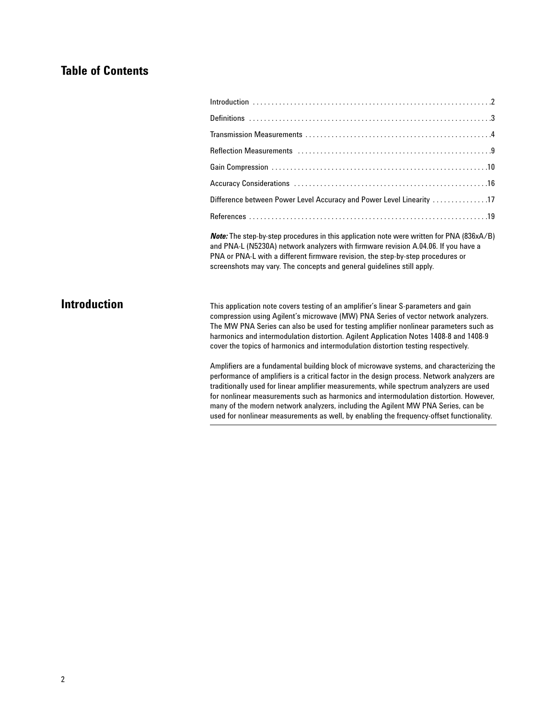# **Table of Contents**

| Difference between Power Level Accuracy and Power Level Linearity 17                                                                                                                                                                                                                                        |  |
|-------------------------------------------------------------------------------------------------------------------------------------------------------------------------------------------------------------------------------------------------------------------------------------------------------------|--|
|                                                                                                                                                                                                                                                                                                             |  |
| $\mathbf{r}$ , $\mathbf{r}$ , $\mathbf{r}$ , $\mathbf{r}$ , $\mathbf{r}$ , $\mathbf{r}$ , $\mathbf{r}$ , $\mathbf{r}$ , $\mathbf{r}$ , $\mathbf{r}$ , $\mathbf{r}$ , $\mathbf{r}$ , $\mathbf{r}$ , $\mathbf{r}$ , $\mathbf{r}$ , $\mathbf{r}$ , $\mathbf{r}$ , $\mathbf{r}$ , $\mathbf{r}$ , $\mathbf{r}$ , |  |

*Note:* The step-by-step procedures in this application note were written for PNA (836xA/B) and PNA-L (N5230A) network analyzers with firmware revision A.04.06. If you have a PNA or PNA-L with a different firmware revision, the step-by-step procedures or screenshots may vary. The concepts and general guidelines still apply.

# **Introduction**

This application note covers testing of an amplifier's linear S-parameters and gain compression using Agilent's microwave (MW) PNA Series of vector network analyzers. The MW PNA Series can also be used for testing amplifier nonlinear parameters such as harmonics and intermodulation distortion. Agilent Application Notes 1408-8 and 1408-9 cover the topics of harmonics and intermodulation distortion testing respectively.

Amplifiers are a fundamental building block of microwave systems, and characterizing the performance of amplifiers is a critical factor in the design process. Network analyzers are traditionally used for linear amplifier measurements, while spectrum analyzers are used for nonlinear measurements such as harmonics and intermodulation distortion. However, many of the modern network analyzers, including the Agilent MW PNA Series, can be used for nonlinear measurements as well, by enabling the frequency-offset functionality.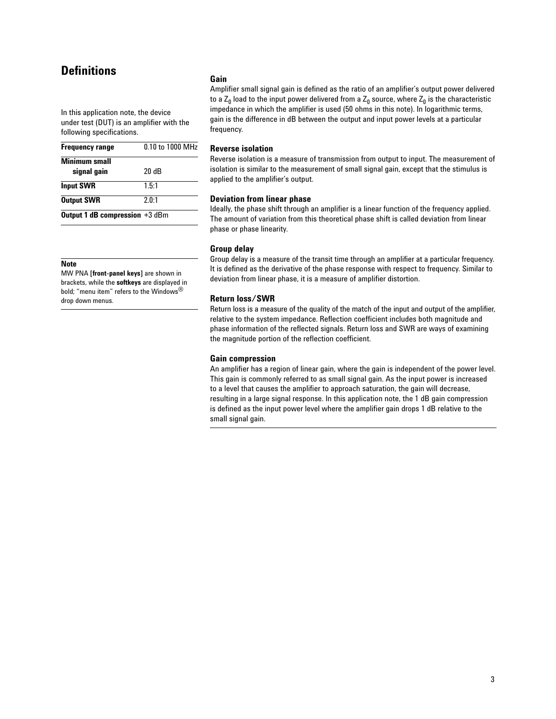# **Definitions**

In this application note, the device under test (DUT) is an amplifier with the following specifications.

| <b>Frequency range</b>                | 0.10 to 1000 MHz |
|---------------------------------------|------------------|
| <b>Minimum small</b>                  |                  |
| signal gain                           | 20 dB            |
| <b>Input SWR</b>                      | 1.5:1            |
| <b>Output SWR</b>                     | 2.0:1            |
| <b>Output 1 dB compression +3 dBm</b> |                  |

### **Note**

MW PNA **[front-panel keys]** are shown in brackets, while the **softkeys** are displayed in bold; "menu item" refers to the Windows® drop down menus.

#### **Gain**

Amplifier small signal gain is defined as the ratio of an amplifier's output power delivered to a  $Z_0$  load to the input power delivered from a  $Z_0$  source, where  $Z_0$  is the characteristic impedance in which the amplifier is used (50 ohms in this note). In logarithmic terms, gain is the difference in dB between the output and input power levels at a particular frequency.

### **Reverse isolation**

Reverse isolation is a measure of transmission from output to input. The measurement of isolation is similar to the measurement of small signal gain, except that the stimulus is applied to the amplifier's output.

### **Deviation from linear phase**

Ideally, the phase shift through an amplifier is a linear function of the frequency applied. The amount of variation from this theoretical phase shift is called deviation from linear phase or phase linearity.

#### **Group delay**

Group delay is a measure of the transit time through an amplifier at a particular frequency. It is defined as the derivative of the phase response with respect to frequency. Similar to deviation from linear phase, it is a measure of amplifier distortion.

### **Return loss/SWR**

Return loss is a measure of the quality of the match of the input and output of the amplifier, relative to the system impedance. Reflection coefficient includes both magnitude and phase information of the reflected signals. Return loss and SWR are ways of examining the magnitude portion of the reflection coefficient.

### **Gain compression**

An amplifier has a region of linear gain, where the gain is independent of the power level. This gain is commonly referred to as small signal gain. As the input power is increased to a level that causes the amplifier to approach saturation, the gain will decrease, resulting in a large signal response. In this application note, the 1 dB gain compression is defined as the input power level where the amplifier gain drops 1 dB relative to the small signal gain.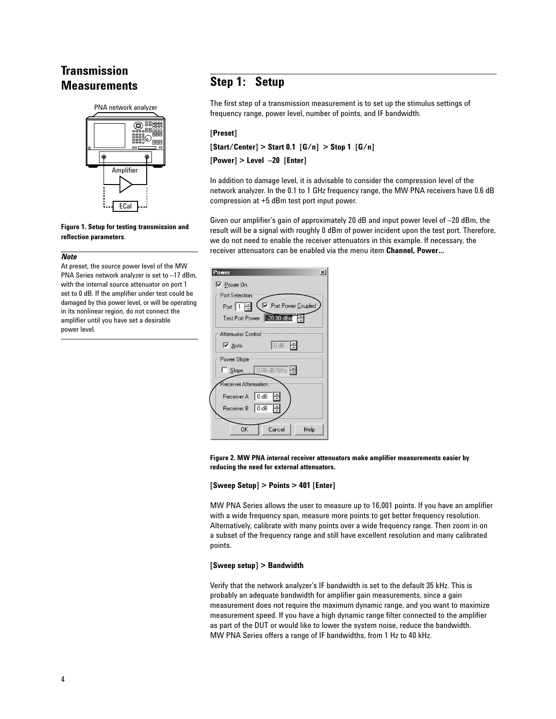# **Transmission Measurements**



#### **Figure 1. Setup for testing transmission and reflection parameters**.

#### *Note*

At preset, the source power level of the MW PNA Series network analyzer is set to –17 dBm, with the internal source attenuator on port 1 set to 0 dB. If the amplifier under test could be damaged by this power level, or will be operating in its nonlinear region, do not connect the amplifier until you have set a desirable power level.

# **Step 1: Setup**

The first step of a transmission measurement is to set up the stimulus settings of frequency range, power level, number of points, and IF bandwidth.

### **[Preset]**

**[Start/Center] > Start 0.1 [G/n] > Stop 1 [G/n]** 

**[Power] > Level –20 [Enter]**

In addition to damage level, it is advisable to consider the compression level of the network analyzer. In the 0.1 to 1 GHz frequency range, the MW PNA receivers have 0.6 dB compression at +5 dBm test port input power.

Given our amplifier's gain of approximately 20 dB and input power level of –20 dBm, the result will be a signal with roughly 0 dBm of power incident upon the test port. Therefore, we do not need to enable the receiver attenuators in this example. If necessary, the receiver attenuators can be enabled via the menu item **Channel, Power…**

| $\vert x \vert$<br>'ower                                |
|---------------------------------------------------------|
| $\triangledown$ Power On                                |
| Port Selection                                          |
| ◯ Port Power Coupled<br>Port $\boxed{1}$ $\div$         |
| Test Port Power 20.00 dBm                               |
| <b>Attenuator Control</b>                               |
| $0$ dB $\Rightarrow$<br>$\overline{\triangledown}$ Auto |
| Power Slope                                             |
| $0.00$ dB/GHz $\div$<br>$\Box$ Slope                    |
| Receiver Attenuation                                    |
| Receiver A   0 dB<br>÷                                  |
| Receiver B 0 dB<br>÷                                    |
| 0K<br>Help<br>Cancel                                    |

**Figure 2. MW PNA internal receiver attenuators make amplifier measurements easier by reducing the need for external attenuators.**

### **[Sweep Setup] > Points > 401 [Enter]**

MW PNA Series allows the user to measure up to 16,001 points. If you have an amplifier with a wide frequency span, measure more points to get better frequency resolution. Alternatively, calibrate with many points over a wide frequency range. Then zoom in on a subset of the frequency range and still have excellent resolution and many calibrated points.

### **[Sweep setup] > Bandwidth**

Verify that the network analyzer's IF bandwidth is set to the default 35 kHz. This is probably an adequate bandwidth for amplifier gain measurements, since a gain measurement does not require the maximum dynamic range, and you want to maximize measurement speed. If you have a high dynamic range filter connected to the amplifier as part of the DUT or would like to lower the system noise, reduce the bandwidth. MW PNA Series offers a range of IF bandwidths, from 1 Hz to 40 kHz.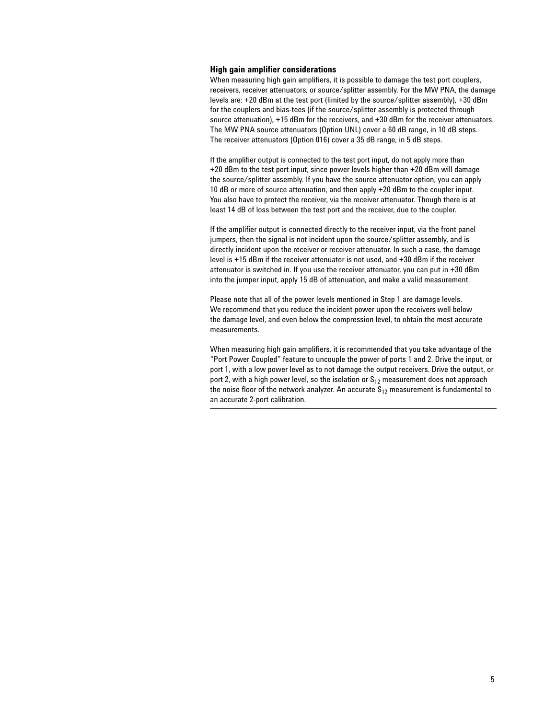### **High gain amplifier considerations**

When measuring high gain amplifiers, it is possible to damage the test port couplers, receivers, receiver attenuators, or source/splitter assembly. For the MW PNA, the damage levels are: +20 dBm at the test port (limited by the source/splitter assembly), +30 dBm for the couplers and bias-tees (if the source/splitter assembly is protected through source attenuation), +15 dBm for the receivers, and +30 dBm for the receiver attenuators. The MW PNA source attenuators (Option UNL) cover a 60 dB range, in 10 dB steps. The receiver attenuators (Option 016) cover a 35 dB range, in 5 dB steps.

If the amplifier output is connected to the test port input, do not apply more than +20 dBm to the test port input, since power levels higher than +20 dBm will damage the source/splitter assembly. If you have the source attenuator option, you can apply 10 dB or more of source attenuation, and then apply +20 dBm to the coupler input. You also have to protect the receiver, via the receiver attenuator. Though there is at least 14 dB of loss between the test port and the receiver, due to the coupler.

If the amplifier output is connected directly to the receiver input, via the front panel jumpers, then the signal is not incident upon the source/splitter assembly, and is directly incident upon the receiver or receiver attenuator. In such a case, the damage level is +15 dBm if the receiver attenuator is not used, and +30 dBm if the receiver attenuator is switched in. If you use the receiver attenuator, you can put in +30 dBm into the jumper input, apply 15 dB of attenuation, and make a valid measurement.

Please note that all of the power levels mentioned in Step 1 are damage levels. We recommend that you reduce the incident power upon the receivers well below the damage level, and even below the compression level, to obtain the most accurate measurements.

When measuring high gain amplifiers, it is recommended that you take advantage of the "Port Power Coupled" feature to uncouple the power of ports 1 and 2. Drive the input, or port 1, with a low power level as to not damage the output receivers. Drive the output, or port 2, with a high power level, so the isolation or  $S_{12}$  measurement does not approach the noise floor of the network analyzer. An accurate  $S_{12}$  measurement is fundamental to an accurate 2-port calibration.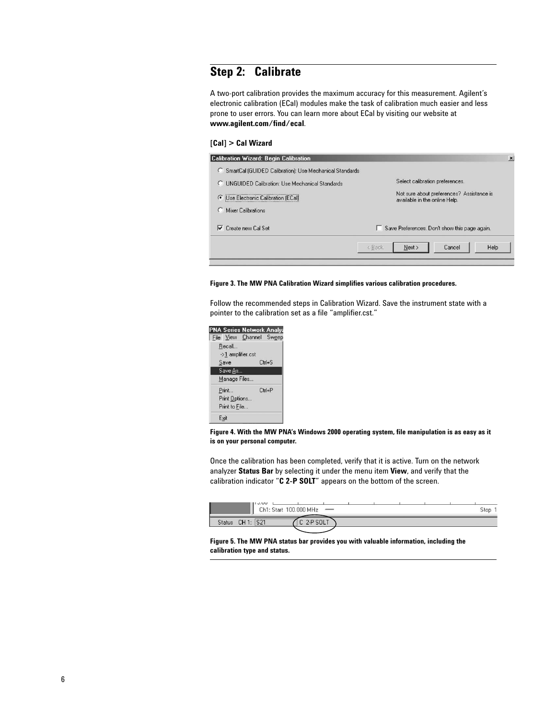# **Step 2: Calibrate**

A two-port calibration provides the maximum accuracy for this measurement. Agilent's electronic calibration (ECal) modules make the task of calibration much easier and less prone to user errors. You can learn more about ECal by visiting our website at **www.agilent.com/find/ecal**.

### **[Cal] > Cal Wizard**

| <b>Calibration Wizard: Begin Calibration</b>                 | $\boldsymbol{\mathsf{x}}$                                                  |
|--------------------------------------------------------------|----------------------------------------------------------------------------|
| SmartCal (GUIDED Calibration); Use Mechanical Standards<br>O |                                                                            |
| n.<br><b>LINGUIDED Calibration: Use Mechanical Standards</b> | Select calibration preferences.                                            |
| Use Electronic Calibration (ECal)<br>G                       | Not sure about preferences? Assistance is<br>available in the online Help. |
| Mixer Calibrations                                           |                                                                            |
| Create new Cal Set<br>⊽                                      | Save Preferences. Don't show this page again.<br>ш                         |
|                                                              | Next ><br>Help<br>Cancel<br>< Back                                         |

#### **Figure 3. The MW PNA Calibration Wizard simplifies various calibration procedures.**

Follow the recommended steps in Calibration Wizard. Save the instrument state with a pointer to the calibration set as a file "amplifier.cst."



**Figure 4. With the MW PNA's Windows 2000 operating system, file manipulation is as easy as it is on your personal computer.**

Once the calibration has been completed, verify that it is active. Turn on the network analyzer **Status Bar** by selecting it under the menu item **View**, and verify that the calibration indicator "**C 2-P SOLT**" appears on the bottom of the screen.

| 11 U.UU<br>Ch <sub>1</sub> :<br>. Start | 100.000 MHz<br>$\overline{\phantom{a}}$ |  | Stop |
|-----------------------------------------|-----------------------------------------|--|------|
| S21<br>CH 1:<br><b>Status</b>           | SOLT<br>ı                               |  |      |

**Figure 5. The MW PNA status bar provides you with valuable information, including the calibration type and status.**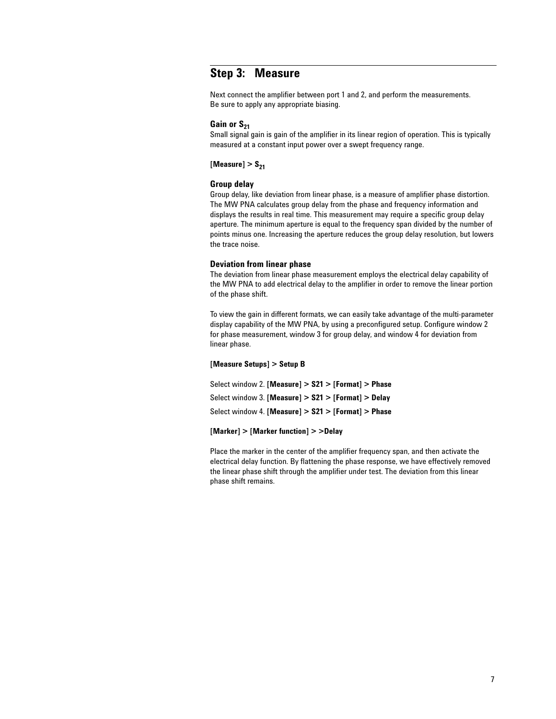# **Step 3: Measure**

Next connect the amplifier between port 1 and 2, and perform the measurements. Be sure to apply any appropriate biasing.

### Gain or S<sub>21</sub>

Small signal gain is gain of the amplifier in its linear region of operation. This is typically measured at a constant input power over a swept frequency range.

 $[Measure] > S_{21}$ 

### **Group delay**

Group delay, like deviation from linear phase, is a measure of amplifier phase distortion. The MW PNA calculates group delay from the phase and frequency information and displays the results in real time. This measurement may require a specific group delay aperture. The minimum aperture is equal to the frequency span divided by the number of points minus one. Increasing the aperture reduces the group delay resolution, but lowers the trace noise.

### **Deviation from linear phase**

The deviation from linear phase measurement employs the electrical delay capability of the MW PNA to add electrical delay to the amplifier in order to remove the linear portion of the phase shift.

To view the gain in different formats, we can easily take advantage of the multi-parameter display capability of the MW PNA, by using a preconfigured setup. Configure window 2 for phase measurement, window 3 for group delay, and window 4 for deviation from linear phase.

#### **[Measure Setups] > Setup B**

Select window 2. **[Measure] > S21 > [Format] > Phase** Select window 3. **[Measure] > S21 > [Format] > Delay** Select window 4. **[Measure] > S21 > [Format] > Phase**

#### **[Marker] > [Marker function] > >Delay**

Place the marker in the center of the amplifier frequency span, and then activate the electrical delay function. By flattening the phase response, we have effectively removed the linear phase shift through the amplifier under test. The deviation from this linear phase shift remains.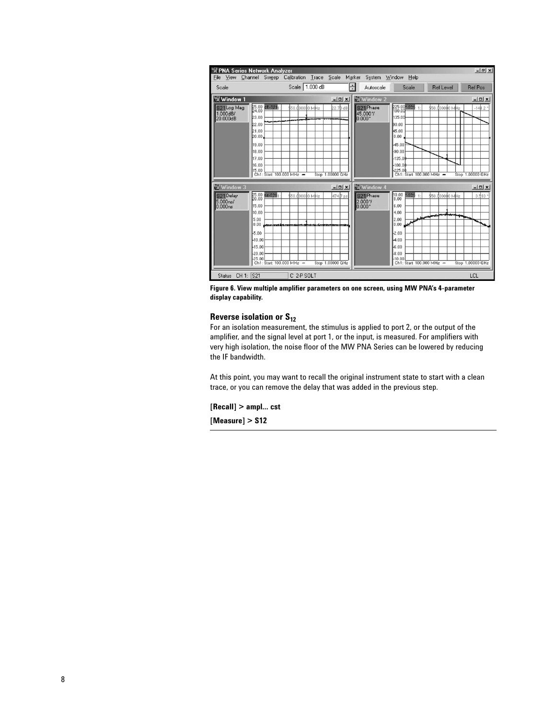| Scale 1.000 dB<br>$\frac{1}{100}$<br>Autoscale<br>Scale<br><b>Ref Level</b><br><b>Ref Pos</b><br>Scale<br>Window 1<br><b>El Window 2</b><br>$  x$<br>$-11 \times 1$<br>225.00 <sup>*</sup> S21<br>25.00 de-\$21<br>S <sub>21</sub> Phase<br>S21 Log Mag<br>50.d00000 MHz<br>22.7B dB<br>\$50.000000 MHz<br>$-141.2$<br>$1.000$ dB/<br>45.000%<br>23.00<br>135.00<br>$0.000*$<br>20.000dB<br>22.00<br>lan no<br>21.00<br>45.00<br>20.00<br>0.00<br>19.00<br>45.00<br>18.00<br>$-90.00$<br>17.00<br>$-135.06$<br>16.00<br>$-180.06$<br>15.00<br>$-225.00$<br>Stop 1,00000 GHz<br>Stop 1.00000 GHz<br>Ch1: Start 100,000 MHz -<br>Ch1: Start 100,000 MHz -<br>of Window 3<br><b>BIWindow 4</b><br>$ \Box$ $\times$<br>$  x$<br>$\begin{bmatrix} 10.00 \\ 8.00 \end{bmatrix}$<br>25.00<br>20.00<br>$55 - $211$<br>S <sub>21</sub> Phase<br>-821<br>S <sub>21</sub> Delay<br>4747 ps<br>3.593<br>\$50.000000 MHz<br>\$50<br>dooodo MHz<br>5.000 <sub>ns</sub><br>2.000%<br>15.00<br>6.00<br>$0.000*$<br>0.000ns<br>10.00<br>4.00<br>سست<br>عيس<br>2.00<br>5.00<br>0.00<br>0.00<br>$-2.00$<br>5.00<br>$-10.00$<br>4.00<br>$-15.00$<br>$-6.00$<br>$-8.00$<br>$-20.00$ | File<br>View | <b>PNA Series Network Analyzer</b> | Channel Sweep Calibration Trace Scale Marker |  |  | System Window | Help |  | $- B $ x |
|----------------------------------------------------------------------------------------------------------------------------------------------------------------------------------------------------------------------------------------------------------------------------------------------------------------------------------------------------------------------------------------------------------------------------------------------------------------------------------------------------------------------------------------------------------------------------------------------------------------------------------------------------------------------------------------------------------------------------------------------------------------------------------------------------------------------------------------------------------------------------------------------------------------------------------------------------------------------------------------------------------------------------------------------------------------------------------------------------------------------------------------------------------------|--------------|------------------------------------|----------------------------------------------|--|--|---------------|------|--|----------|
|                                                                                                                                                                                                                                                                                                                                                                                                                                                                                                                                                                                                                                                                                                                                                                                                                                                                                                                                                                                                                                                                                                                                                                |              |                                    |                                              |  |  |               |      |  |          |
|                                                                                                                                                                                                                                                                                                                                                                                                                                                                                                                                                                                                                                                                                                                                                                                                                                                                                                                                                                                                                                                                                                                                                                |              |                                    |                                              |  |  |               |      |  |          |
|                                                                                                                                                                                                                                                                                                                                                                                                                                                                                                                                                                                                                                                                                                                                                                                                                                                                                                                                                                                                                                                                                                                                                                |              |                                    |                                              |  |  |               |      |  |          |
|                                                                                                                                                                                                                                                                                                                                                                                                                                                                                                                                                                                                                                                                                                                                                                                                                                                                                                                                                                                                                                                                                                                                                                |              |                                    |                                              |  |  |               |      |  |          |
| Ch1: Start 100,000 MHz -<br>Stop 1,00000 GHz<br>Ch1: Start 100,000 MHz -<br>Stop 1,00000 GHz                                                                                                                                                                                                                                                                                                                                                                                                                                                                                                                                                                                                                                                                                                                                                                                                                                                                                                                                                                                                                                                                   |              | 25.00                              |                                              |  |  | $-10.00$      |      |  |          |

**Figure 6. View multiple amplifier parameters on one screen, using MW PNA's 4-parameter display capability.**

### **Reverse isolation or S<sub>12</sub>**

For an isolation measurement, the stimulus is applied to port 2, or the output of the amplifier, and the signal level at port 1, or the input, is measured. For amplifiers with very high isolation, the noise floor of the MW PNA Series can be lowered by reducing the IF bandwidth.

At this point, you may want to recall the original instrument state to start with a clean trace, or you can remove the delay that was added in the previous step.

**[Recall] > ampl… cst**

**[Measure] > S12**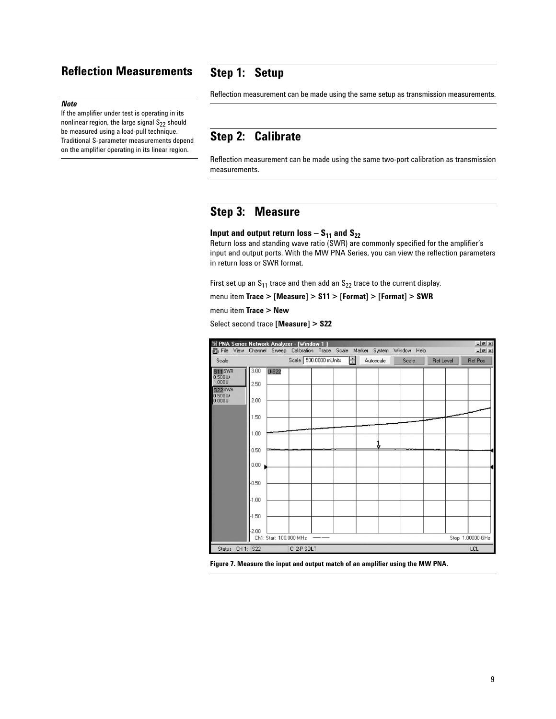# **Reflection Measurements**

# **Step 1: Setup**

### *Note*

If the amplifier under test is operating in its nonlinear region, the large signal  $S_{22}$  should be measured using a load-pull technique. Traditional S-parameter measurements depend on the amplifier operating in its linear region.

Reflection measurement can be made using the same setup as transmission measurements.

# **Step 2: Calibrate**

Reflection measurement can be made using the same two-port calibration as transmission measurements.

# **Step 3: Measure**

### **Input and output return loss –**  $S_{11}$  **and**  $S_{22}$

Return loss and standing wave ratio (SWR) are commonly specified for the amplifier's input and output ports. With the MW PNA Series, you can view the reflection parameters in return loss or SWR format.

First set up an  $S_{11}$  trace and then add an  $S_{22}$  trace to the current display.

menu item **Trace > [Measure] > S11 > [Format] > [Format] > SWR**

menu item **Trace > New**

Select second trace **[Measure] > S22**



**Figure 7. Measure the input and output match of an amplifier using the MW PNA.**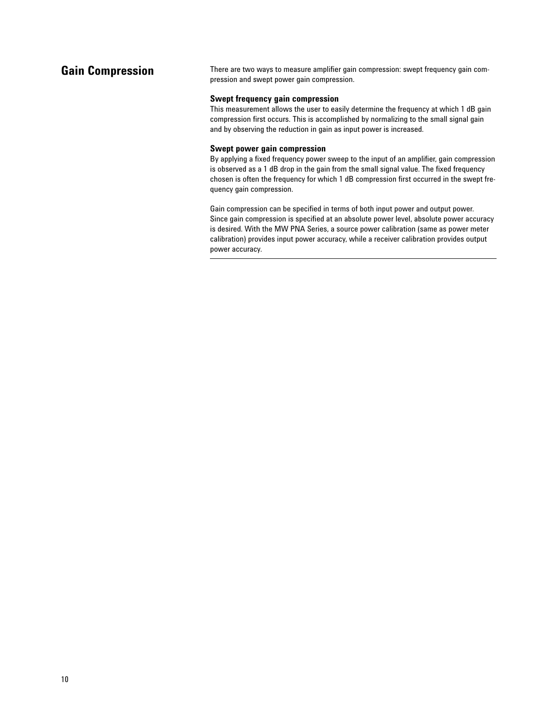# **Gain Compression**

There are two ways to measure amplifier gain compression: swept frequency gain compression and swept power gain compression.

### **Swept frequency gain compression**

This measurement allows the user to easily determine the frequency at which 1 dB gain compression first occurs. This is accomplished by normalizing to the small signal gain and by observing the reduction in gain as input power is increased.

### **Swept power gain compression**

By applying a fixed frequency power sweep to the input of an amplifier, gain compression is observed as a 1 dB drop in the gain from the small signal value. The fixed frequency chosen is often the frequency for which 1 dB compression first occurred in the swept frequency gain compression.

Gain compression can be specified in terms of both input power and output power. Since gain compression is specified at an absolute power level, absolute power accuracy is desired. With the MW PNA Series, a source power calibration (same as power meter calibration) provides input power accuracy, while a receiver calibration provides output power accuracy.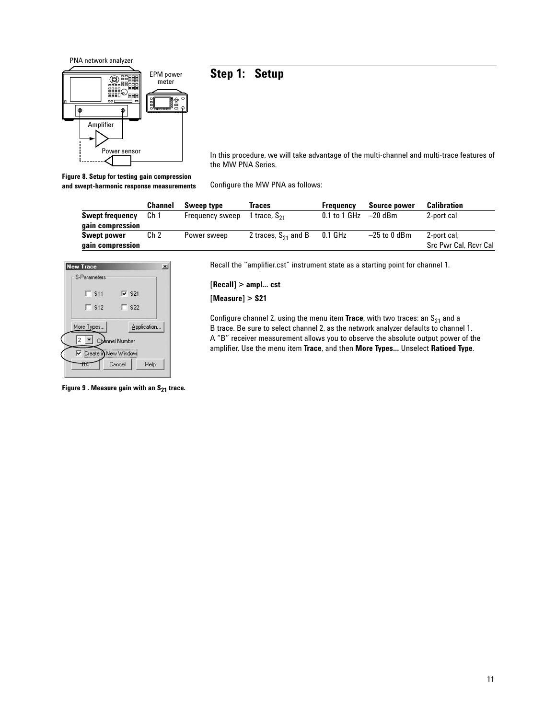

# **Step 1: Setup**

In this procedure, we will take advantage of the multi-channel and multi-trace features of the MW PNA Series.

**Figure 8. Setup for testing gain compression and swept-harmonic response measurements**

Configure the MW PNA as follows:

|                        | <b>Channel</b>  | Sweep type      | Traces                   | Frequency    | <b>Source power</b> | Calibration           |
|------------------------|-----------------|-----------------|--------------------------|--------------|---------------------|-----------------------|
| <b>Swept frequency</b> | Ch <sub>1</sub> | Frequency sweep | l trace, S <sub>21</sub> | 0.1 to 1 GHz | $-20$ dBm           | 2-port cal            |
| gain compression       |                 |                 |                          |              |                     |                       |
| <b>Swept power</b>     | Ch <sub>2</sub> | Power sweep     | 2 traces, $S_{21}$ and B | $0.1$ GHz    | $-25$ to 0 dBm      | 2-port cal,           |
| gain compression       |                 |                 |                          |              |                     | Src Pwr Cal, Revr Cal |



Figure 9 . Measure gain with an S<sub>21</sub> trace.

Recall the "amplifier.cst" instrument state as a starting point for channel 1.

**[Recall] > ampl… cst**

**[Measure] > S21**

Configure channel 2, using the menu item  $Trace$ , with two traces: an  $S_{21}$  and a B trace. Be sure to select channel 2, as the network analyzer defaults to channel 1. A "B" receiver measurement allows you to observe the absolute output power of the amplifier. Use the menu item **Trace**, and then **More Types…** Unselect **Ratioed Type**.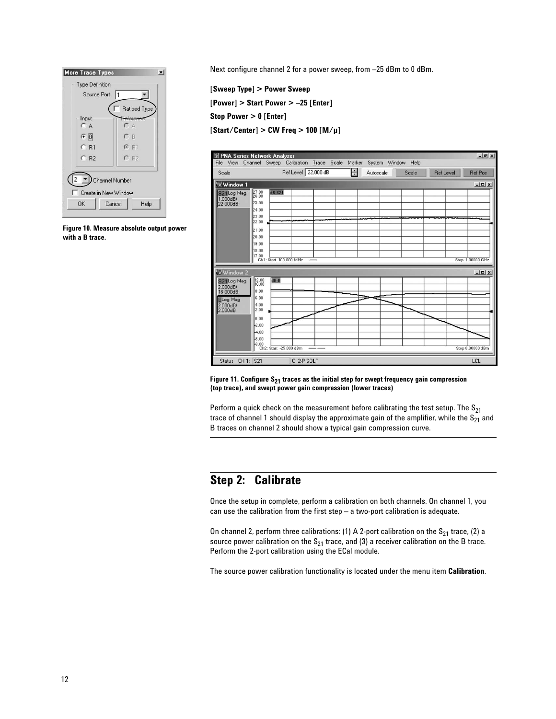

**Figure 10. Measure absolute output power with a B trace.**

Next configure channel 2 for a power sweep, from –25 dBm to 0 dBm.

**[Sweep Type] > Power Sweep [Power] > Start Power > –25 [Enter] Stop Power > 0 [Enter] [Start/Center] > CW Freq > 100 [M/µ]**



Figure 11. Configure S<sub>21</sub> traces as the initial step for swept frequency gain compression **(top trace), and swept power gain compression (lower traces)**

Perform a quick check on the measurement before calibrating the test setup. The  $S_{21}$ trace of channel 1 should display the approximate gain of the amplifier, while the  $S_{21}$  and B traces on channel 2 should show a typical gain compression curve.

# **Step 2: Calibrate**

Once the setup in complete, perform a calibration on both channels. On channel 1, you can use the calibration from the first step – a two-port calibration is adequate.

On channel 2, perform three calibrations: (1) A 2-port calibration on the  $S_{21}$  trace, (2) a source power calibration on the  $S_{21}$  trace, and (3) a receiver calibration on the B trace. Perform the 2-port calibration using the ECal module.

The source power calibration functionality is located under the menu item **Calibration**.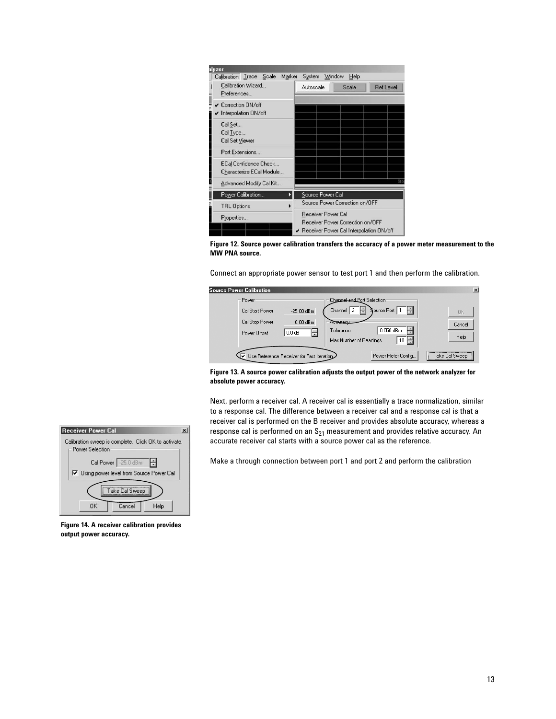

**Figure 12. Source power calibration transfers the accuracy of a power meter measurement to the MW PNA source.** 

Connect an appropriate power sensor to test port 1 and then perform the calibration.

| Source Power Calibration                                   |                                             |                                                                                                                                                              | $\vert x \vert$      |
|------------------------------------------------------------|---------------------------------------------|--------------------------------------------------------------------------------------------------------------------------------------------------------------|----------------------|
| Power<br>Cal Start Power<br>Cal Stop Power<br>Power Offset | $-25.00$ dBm<br>$0.00$ dBm<br>글<br>$0.0$ dB | Channel and Port Selection<br>H<br>Source Port   1<br><b>Acouracu</b><br>$0.050$ dBm<br>Tolerance<br>10 $\left \frac{1}{2}\right $<br>Max Number of Readings | 0K<br>Cancel<br>Help |
|                                                            | Use Reference Receiver for Fast Iteration   | Power Meter Config                                                                                                                                           | Take Cal Sweep       |

**Figure 13. A source power calibration adjusts the output power of the network analyzer for absolute power accuracy.**

Next, perform a receiver cal. A receiver cal is essentially a trace normalization, similar to a response cal. The difference between a receiver cal and a response cal is that a receiver cal is performed on the B receiver and provides absolute accuracy, whereas a response cal is performed on an  $S_{21}$  measurement and provides relative accuracy. An accurate receiver cal starts with a source power cal as the reference.

Make a through connection between port 1 and port 2 and perform the calibration



**Figure 14. A receiver calibration provides output power accuracy.**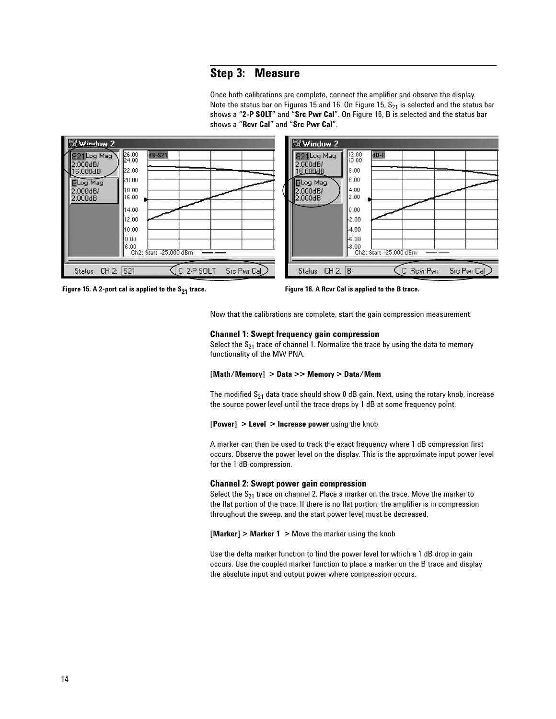# **Step 3: Measure**

Once both calibrations are complete, connect the amplifier and observe the display. Note the status bar on Figures 15 and 16. On Figure 15,  $S_{21}$  is selected and the status bar shows a "**2-P SOLT**" and "**Src Pwr Cal**". On Figure 16, B is selected and the status bar shows a "**Rcvr Cal**" and "**Src Pwr Cal**".



**Figure 15. A 2-port cal is applied to the S21 trace. Figure 16. A Rcvr Cal is applied to the B trace.**

Now that the calibrations are complete, start the gain compression measurement.

#### **Channel 1: Swept frequency gain compression**

Select the  $S_{21}$  trace of channel 1. Normalize the trace by using the data to memory functionality of the MW PNA.

#### **[Math/Memory] > Data >> Memory > Data/Mem**

The modified  $S_{21}$  data trace should show 0 dB gain. Next, using the rotary knob, increase the source power level until the trace drops by 1 dB at some frequency point.

#### **[Power] > Level > Increase power** using the knob

A marker can then be used to track the exact frequency where 1 dB compression first occurs. Observe the power level on the display. This is the approximate input power level for the 1 dB compression.

#### **Channel 2: Swept power gain compression**

Select the  $S_{21}$  trace on channel 2. Place a marker on the trace. Move the marker to the flat portion of the trace. If there is no flat portion, the amplifier is in compression throughout the sweep, and the start power level must be decreased.

**[Marker] > Marker 1 >** Move the marker using the knob

Use the delta marker function to find the power level for which a 1 dB drop in gain occurs. Use the coupled marker function to place a marker on the B trace and display the absolute input and output power where compression occurs.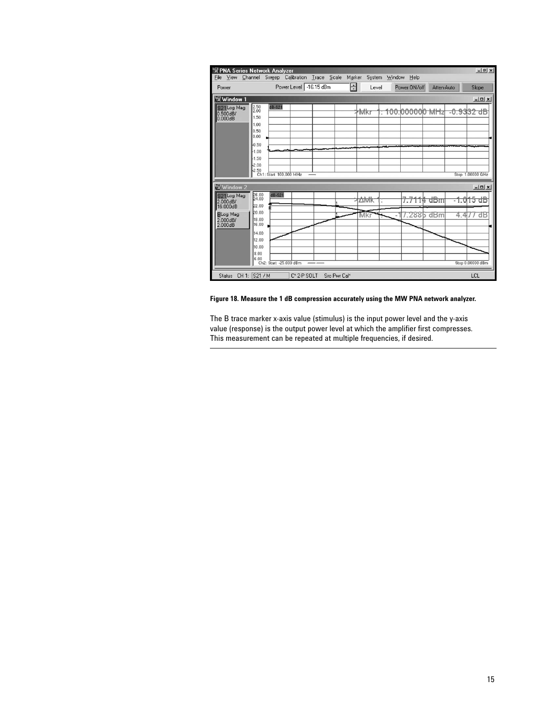| File | View                                              |                                                                                                                                  | PNA Series Network Analyzer | Channel Sweep Calibration Trace Scale |              | Marker | System | Window | Help                      |            |                       |                  | $- B $ x                       |
|------|---------------------------------------------------|----------------------------------------------------------------------------------------------------------------------------------|-----------------------------|---------------------------------------|--------------|--------|--------|--------|---------------------------|------------|-----------------------|------------------|--------------------------------|
|      | Power                                             |                                                                                                                                  |                             | Power Level -16.15 dBm                |              | ÷      | Level  |        | Power ON/off              | Atten-Auto |                       |                  | Slope                          |
|      | Window 1                                          |                                                                                                                                  |                             |                                       |              |        |        |        |                           |            |                       |                  | $  \vert$ $=$ $\vert$ $\times$ |
|      | S <sub>21</sub> Log Mag<br>$0.500$ dB/<br>0.000dB | $\begin{array}{r} 2.50 \\ 2.00 \end{array}$<br>1.50<br>1.00<br>0.50<br>0.00<br>$-0.50$<br>$-1.00$<br>$-1.50$<br>$-2.00$<br>-2.50 | $dB-S21$                    | Ch1: Start 100,000 MHz                |              |        | *Mkr   |        | <del>100.000000 MHz</del> |            | <del>-0.9332 dB</del> | Stop 1,00000 GHz |                                |
|      | <b>Window 2</b>                                   |                                                                                                                                  |                             |                                       |              |        |        |        |                           |            |                       |                  | $-10x$                         |
|      | S21Log Mag<br>$2.000$ d $B/$<br>16.000dB          | 26.00<br>22.00                                                                                                                   | $dB-S21$                    |                                       |              |        | ∆Mk    |        | 7.7114                    | dBm        |                       | -1.015           | ďВ                             |
|      | <b>BLog Mag</b><br>2.000dB/<br>2.000dB            | 20.00                                                                                                                            | 18.00<br>16.00              |                                       |              |        | Mki    |        |                           | 7.2886 dBm | 4.4                   |                  | $11$ dB                        |
|      |                                                   | 8.00<br>6.00                                                                                                                     | 14.00<br>12.00<br>10.00     | Ch2: Start -25,000 dBm                |              |        |        |        |                           |            |                       | Stop 0.00000 dBm |                                |
|      |                                                   | Status CH 1: S21 / M                                                                                                             |                             | C*2-P SOLT                            | Src Pwr Cal* |        |        |        |                           |            |                       | LCL              |                                |

### **Figure 18. Measure the 1 dB compression accurately using the MW PNA network analyzer.**

The B trace marker x-axis value (stimulus) is the input power level and the y-axis value (response) is the output power level at which the amplifier first compresses. This measurement can be repeated at multiple frequencies, if desired.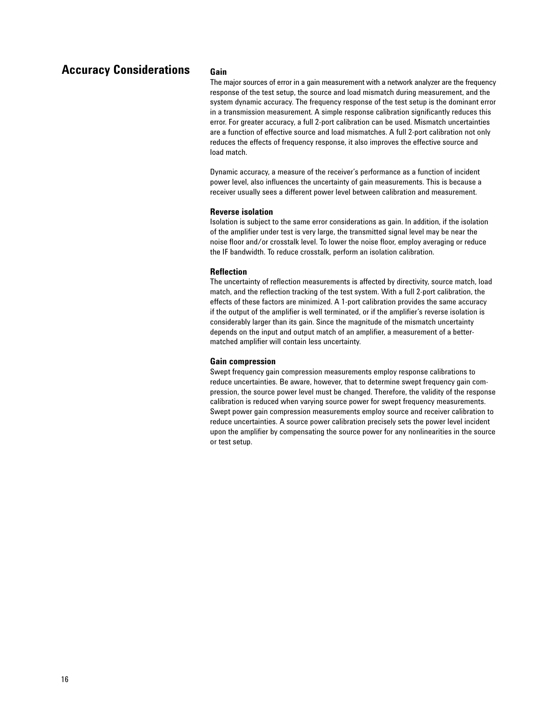# **Accuracy Considerations**

### **Gain**

The major sources of error in a gain measurement with a network analyzer are the frequency response of the test setup, the source and load mismatch during measurement, and the system dynamic accuracy. The frequency response of the test setup is the dominant error in a transmission measurement. A simple response calibration significantly reduces this error. For greater accuracy, a full 2-port calibration can be used. Mismatch uncertainties are a function of effective source and load mismatches. A full 2-port calibration not only reduces the effects of frequency response, it also improves the effective source and load match.

Dynamic accuracy, a measure of the receiver's performance as a function of incident power level, also influences the uncertainty of gain measurements. This is because a receiver usually sees a different power level between calibration and measurement.

### **Reverse isolation**

Isolation is subject to the same error considerations as gain. In addition, if the isolation of the amplifier under test is very large, the transmitted signal level may be near the noise floor and/or crosstalk level. To lower the noise floor, employ averaging or reduce the IF bandwidth. To reduce crosstalk, perform an isolation calibration.

#### **Reflection**

The uncertainty of reflection measurements is affected by directivity, source match, load match, and the reflection tracking of the test system. With a full 2-port calibration, the effects of these factors are minimized. A 1-port calibration provides the same accuracy if the output of the amplifier is well terminated, or if the amplifier's reverse isolation is considerably larger than its gain. Since the magnitude of the mismatch uncertainty depends on the input and output match of an amplifier, a measurement of a bettermatched amplifier will contain less uncertainty.

#### **Gain compression**

Swept frequency gain compression measurements employ response calibrations to reduce uncertainties. Be aware, however, that to determine swept frequency gain compression, the source power level must be changed. Therefore, the validity of the response calibration is reduced when varying source power for swept frequency measurements. Swept power gain compression measurements employ source and receiver calibration to reduce uncertainties. A source power calibration precisely sets the power level incident upon the amplifier by compensating the source power for any nonlinearities in the source or test setup.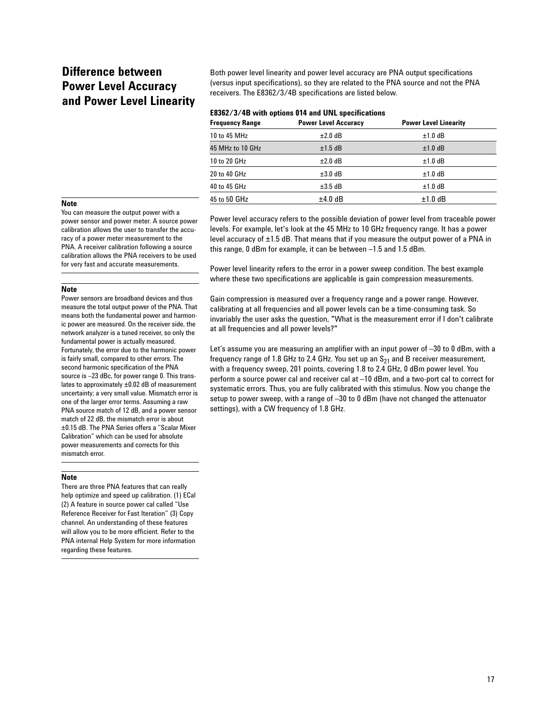# **Difference between Power Level Accuracy and Power Level Linearity**

Both power level linearity and power level accuracy are PNA output specifications (versus input specifications), so they are related to the PNA source and not the PNA receivers. The E8362/3/4B specifications are listed below.

| E8362/3/4B with options 014 and UNL specifications |  |  |
|----------------------------------------------------|--|--|
|----------------------------------------------------|--|--|

| <b>Frequency Range</b> | <b>Power Level Accuracy</b> | <b>Power Level Linearity</b> |
|------------------------|-----------------------------|------------------------------|
| 10 to 45 MHz           | $\pm 2.0$ dB                | $±1.0$ dB                    |
| 45 MHz to 10 GHz       | $±1.5$ dB                   | $±1.0$ dB                    |
| 10 to 20 GHz           | $±2.0$ dB                   | $±1.0$ dB                    |
| 20 to 40 GHz           | $\pm 3.0$ dB                | $±1.0$ dB                    |
| 40 to 45 GHz           | $\pm 3.5$ dB                | $±1.0$ dB                    |
| 45 to 50 GHz           | $±4.0$ dB                   | $±1.0$ dB                    |

### **Note**

You can measure the output power with a power sensor and power meter. A source power calibration allows the user to transfer the accuracy of a power meter measurement to the PNA. A receiver calibration following a source calibration allows the PNA receivers to be used for very fast and accurate measurements.

### Power level accuracy refers to the possible deviation of power level from traceable power levels. For example, let's look at the 45 MHz to 10 GHz frequency range. It has a power level accuracy of ±1.5 dB. That means that if you measure the output power of a PNA in this range, 0 dBm for example, it can be between –1.5 and 1.5 dBm.

Power level linearity refers to the error in a power sweep condition. The best example where these two specifications are applicable is gain compression measurements.

Gain compression is measured over a frequency range and a power range. However, calibrating at all frequencies and all power levels can be a time-consuming task. So invariably the user asks the question, "What is the measurement error if I don't calibrate at all frequencies and all power levels?"

Let's assume you are measuring an amplifier with an input power of –30 to 0 dBm, with a frequency range of 1.8 GHz to 2.4 GHz. You set up an  $S_{21}$  and B receiver measurement, with a frequency sweep, 201 points, covering 1.8 to 2.4 GHz, 0 dBm power level. You perform a source power cal and receiver cal at –10 dBm, and a two-port cal to correct for systematic errors. Thus, you are fully calibrated with this stimulus. Now you change the setup to power sweep, with a range of –30 to 0 dBm (have not changed the attenuator settings), with a CW frequency of 1.8 GHz.

### **Note**

Power sensors are broadband devices and thus measure the total output power of the PNA. That means both the fundamental power and harmonic power are measured. On the receiver side, the network analyzer is a tuned receiver, so only the fundamental power is actually measured. Fortunately, the error due to the harmonic power is fairly small, compared to other errors. The second harmonic specification of the PNA source is -23 dBc, for power range 0. This translates to approximately ±0.02 dB of measurement uncertainty; a very small value. Mismatch error is one of the larger error terms. Assuming a raw PNA source match of 12 dB, and a power sensor match of 22 dB, the mismatch error is about ±0.15 dB. The PNA Series offers a "Scalar Mixer Calibration" which can be used for absolute power measurements and corrects for this mismatch error.

#### **Note**

There are three PNA features that can really help optimize and speed up calibration. (1) ECal (2) A feature in source power cal called "Use Reference Receiver for Fast Iteration" (3) Copy channel. An understanding of these features will allow you to be more efficient. Refer to the PNA internal Help System for more information regarding these features.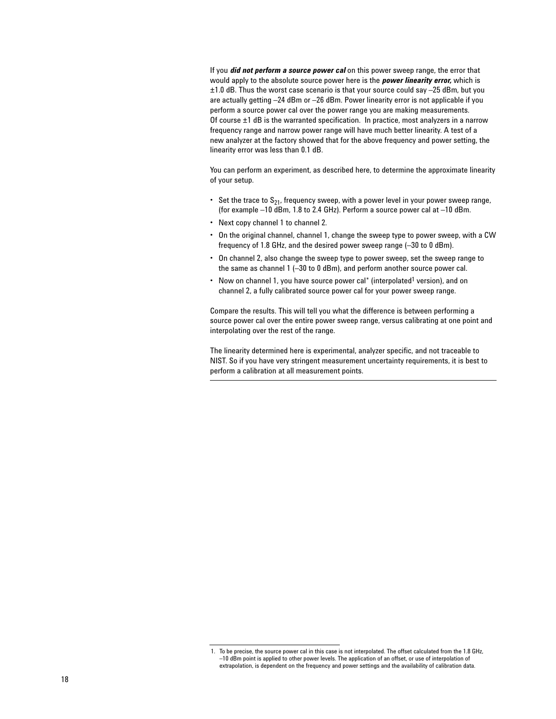If you *did not perform a source power cal* on this power sweep range, the error that would apply to the absolute source power here is the *power linearity error,* which is ±1.0 dB. Thus the worst case scenario is that your source could say –25 dBm, but you are actually getting –24 dBm or –26 dBm. Power linearity error is not applicable if you perform a source power cal over the power range you are making measurements. Of course  $\pm 1$  dB is the warranted specification. In practice, most analyzers in a narrow frequency range and narrow power range will have much better linearity. A test of a new analyzer at the factory showed that for the above frequency and power setting, the linearity error was less than 0.1 dB.

You can perform an experiment, as described here, to determine the approximate linearity of your setup.

- Set the trace to  $S_{21}$ , frequency sweep, with a power level in your power sweep range, (for example –10 dBm, 1.8 to 2.4 GHz). Perform a source power cal at –10 dBm.
- Next copy channel 1 to channel 2.
- On the original channel, channel 1, change the sweep type to power sweep, with a CW frequency of 1.8 GHz, and the desired power sweep range (–30 to 0 dBm).
- On channel 2, also change the sweep type to power sweep, set the sweep range to the same as channel 1 (–30 to 0 dBm), and perform another source power cal.
- Now on channel 1, you have source power cal\* (interpolated<sup>1</sup> version), and on channel 2, a fully calibrated source power cal for your power sweep range.

Compare the results. This will tell you what the difference is between performing a source power cal over the entire power sweep range, versus calibrating at one point and interpolating over the rest of the range.

The linearity determined here is experimental, analyzer specific, and not traceable to NIST. So if you have very stringent measurement uncertainty requirements, it is best to perform a calibration at all measurement points.

<sup>1.</sup> To be precise, the source power cal in this case is not interpolated. The offset calculated from the 1.8 GHz, –10 dBm point is applied to other power levels. The application of an offset, or use of interpolation of extrapolation, is dependent on the frequency and power settings and the availability of calibration data.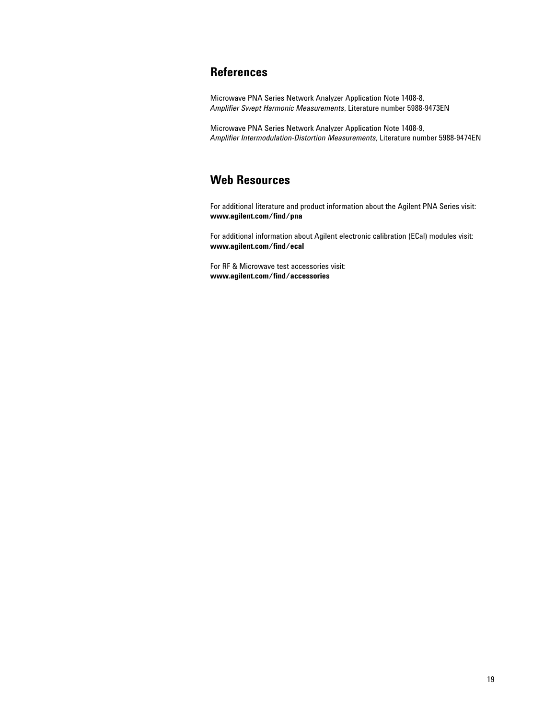# **References**

Microwave PNA Series Network Analyzer Application Note 1408-8, *Amplifier Swept Harmonic Measurements*, Literature number 5988-9473EN

Microwave PNA Series Network Analyzer Application Note 1408-9, *Amplifier Intermodulation-Distortion Measurements*, Literature number 5988-9474EN

# **Web Resources**

For additional literature and product information about the Agilent PNA Series visit: **www.agilent.com/find/pna**

For additional information about Agilent electronic calibration (ECal) modules visit: **www.agilent.com/find/ecal**

For RF & Microwave test accessories visit: **www.agilent.com/find/accessories**